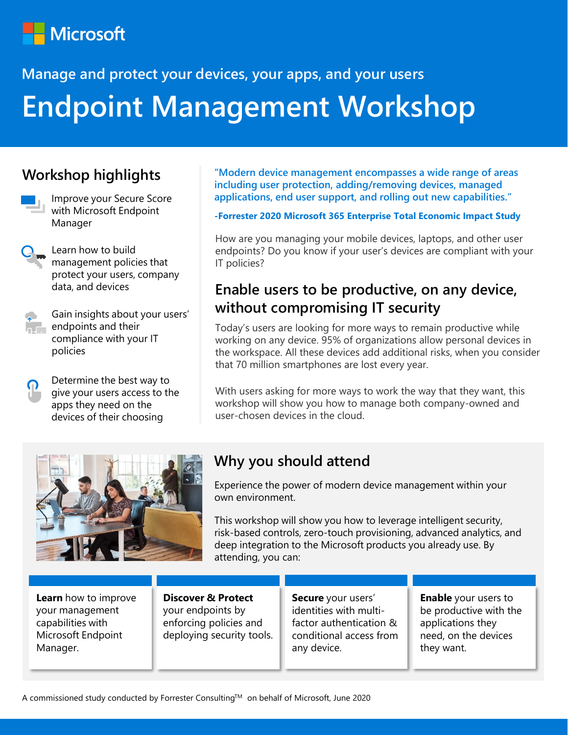# **Microsoft**

# **Manage and protect your devices, your apps, and your users Endpoint Management Workshop**

#### **Workshop highlights**



- Improve your Secure Score with Microsoft Endpoint Manager
- Learn how to build management policies that protect your users, company data, and devices

Gain insights about your users' endpoints and their compliance with your IT policies

Determine the best way to give your users access to the apps they need on the devices of their choosing

**"Modern device management encompasses a wide range of areas including user protection, adding/removing devices, managed applications, end user support, and rolling out new capabilities."**

#### **-Forrester 2020 Microsoft 365 Enterprise Total Economic Impact Study**

How are you managing your mobile devices, laptops, and other user endpoints? Do you know if your user's devices are compliant with your IT policies?

#### **Enable users to be productive, on any device, without compromising IT security**

Today's users are looking for more ways to remain productive while working on any device. 95% of organizations allow personal devices in the workspace. All these devices add additional risks, when you consider that 70 million smartphones are lost every year.

With users asking for more ways to work the way that they want, this workshop will show you how to manage both company-owned and user-chosen devices in the cloud.



#### **Why you should attend**

Experience the power of modern device management within your own environment.

This workshop will show you how to leverage intelligent security, risk-based controls, zero-touch provisioning, advanced analytics, and deep integration to the Microsoft products you already use. By attending, you can:

**Learn** how to improve your management capabilities with Microsoft Endpoint Manager.

**Discover & Protect** your endpoints by enforcing policies and deploying security tools. **Secure** your users' identities with multifactor authentication & conditional access from any device.

**Enable** your users to be productive with the applications they need, on the devices they want.